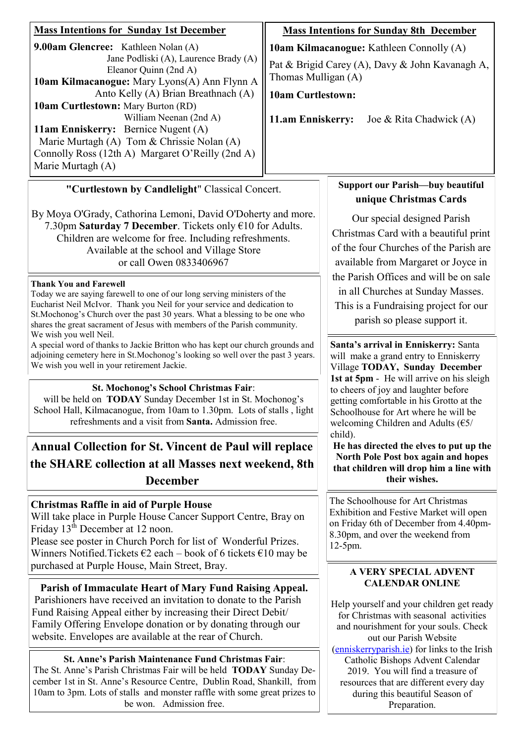| <b>Mass Intentions for Sunday 1st December</b>                                                                                                                                                                                                                                                                                                                                                                                                                                                                                                                                                                                            |                                                                          | <b>Mass Intentions for Sunday 8th December</b>                                                                                                                                                                                                                                                                                                                                                                                                                                            |  |
|-------------------------------------------------------------------------------------------------------------------------------------------------------------------------------------------------------------------------------------------------------------------------------------------------------------------------------------------------------------------------------------------------------------------------------------------------------------------------------------------------------------------------------------------------------------------------------------------------------------------------------------------|--------------------------------------------------------------------------|-------------------------------------------------------------------------------------------------------------------------------------------------------------------------------------------------------------------------------------------------------------------------------------------------------------------------------------------------------------------------------------------------------------------------------------------------------------------------------------------|--|
| 9.00am Glencree: Kathleen Nolan (A)                                                                                                                                                                                                                                                                                                                                                                                                                                                                                                                                                                                                       | 10am Kilmacanogue: Kathleen Connolly (A)                                 |                                                                                                                                                                                                                                                                                                                                                                                                                                                                                           |  |
| Jane Podliski (A), Laurence Brady (A)<br>Eleanor Quinn (2nd A)                                                                                                                                                                                                                                                                                                                                                                                                                                                                                                                                                                            | Pat & Brigid Carey (A), Davy & John Kavanagh A,<br>Thomas Mulligan (A)   |                                                                                                                                                                                                                                                                                                                                                                                                                                                                                           |  |
| 10am Kilmacanogue: Mary Lyons(A) Ann Flynn A<br>Anto Kelly (A) Brian Breathnach (A)                                                                                                                                                                                                                                                                                                                                                                                                                                                                                                                                                       | <b>10am Curtlestown:</b><br>11.am Enniskerry:<br>Joe & Rita Chadwick (A) |                                                                                                                                                                                                                                                                                                                                                                                                                                                                                           |  |
| <b>10am Curtlestown:</b> Mary Burton (RD)                                                                                                                                                                                                                                                                                                                                                                                                                                                                                                                                                                                                 |                                                                          |                                                                                                                                                                                                                                                                                                                                                                                                                                                                                           |  |
| William Neenan (2nd A)<br>11am Enniskerry: Bernice Nugent (A)<br>Marie Murtagh (A) Tom & Chrissie Nolan (A)<br>Connolly Ross (12th A) Margaret O'Reilly (2nd A)<br>Marie Murtagh (A)                                                                                                                                                                                                                                                                                                                                                                                                                                                      |                                                                          |                                                                                                                                                                                                                                                                                                                                                                                                                                                                                           |  |
| "Curtlestown by Candlelight" Classical Concert.                                                                                                                                                                                                                                                                                                                                                                                                                                                                                                                                                                                           |                                                                          | <b>Support our Parish-buy beautiful</b>                                                                                                                                                                                                                                                                                                                                                                                                                                                   |  |
| By Moya O'Grady, Cathorina Lemoni, David O'Doherty and more.<br>7.30pm Saturday 7 December. Tickets only €10 for Adults.<br>Children are welcome for free. Including refreshments.<br>Available at the school and Village Store<br>or call Owen 0833406967<br><b>Thank You and Farewell</b><br>Today we are saying farewell to one of our long serving ministers of the<br>Eucharist Neil McIvor. Thank you Neil for your service and dedication to<br>St. Mochonog's Church over the past 30 years. What a blessing to be one who<br>shares the great sacrament of Jesus with members of the Parish community.<br>We wish you well Neil. |                                                                          | unique Christmas Cards<br>Our special designed Parish<br>Christmas Card with a beautiful print<br>of the four Churches of the Parish are<br>available from Margaret or Joyce in<br>the Parish Offices and will be on sale<br>in all Churches at Sunday Masses.<br>This is a Fundraising project for our<br>parish so please support it.                                                                                                                                                   |  |
| A special word of thanks to Jackie Britton who has kept our church grounds and<br>adjoining cemetery here in St.Mochonog's looking so well over the past 3 years.<br>We wish you well in your retirement Jackie.                                                                                                                                                                                                                                                                                                                                                                                                                          |                                                                          | Santa's arrival in Enniskerry: Santa<br>will make a grand entry to Enniskerry<br>Village TODAY, Sunday December<br>1st at 5pm - He will arrive on his sleigh<br>to cheers of joy and laughter before<br>getting comfortable in his Grotto at the<br>Schoolhouse for Art where he will be<br>welcoming Children and Adults $(65/$<br>child).<br>He has directed the elves to put up the<br>North Pole Post box again and hopes<br>that children will drop him a line with<br>their wishes. |  |
| <b>St. Mochonog's School Christmas Fair:</b><br>will be held on <b>TODAY</b> Sunday December 1st in St. Mochonog's<br>School Hall, Kilmacanogue, from 10am to 1.30pm. Lots of stalls, light<br>refreshments and a visit from Santa. Admission free.                                                                                                                                                                                                                                                                                                                                                                                       |                                                                          |                                                                                                                                                                                                                                                                                                                                                                                                                                                                                           |  |
| <b>Annual Collection for St. Vincent de Paul will replace</b><br>the SHARE collection at all Masses next weekend, 8th<br><b>December</b>                                                                                                                                                                                                                                                                                                                                                                                                                                                                                                  |                                                                          |                                                                                                                                                                                                                                                                                                                                                                                                                                                                                           |  |
| <b>Christmas Raffle in aid of Purple House</b><br>Will take place in Purple House Cancer Support Centre, Bray on<br>Friday 13 <sup>th</sup> December at 12 noon.<br>Please see poster in Church Porch for list of Wonderful Prizes.<br>Winners Notified. Tickets $\epsilon$ 2 each – book of 6 tickets $\epsilon$ 10 may be                                                                                                                                                                                                                                                                                                               |                                                                          | The Schoolhouse for Art Christmas<br>Exhibition and Festive Market will open<br>on Friday 6th of December from 4.40pm-<br>8.30pm, and over the weekend from<br>12-5pm.                                                                                                                                                                                                                                                                                                                    |  |
| purchased at Purple House, Main Street, Bray.                                                                                                                                                                                                                                                                                                                                                                                                                                                                                                                                                                                             |                                                                          | <b>A VERY SPECIAL ADVENT</b><br><b>CALENDAR ONLINE</b>                                                                                                                                                                                                                                                                                                                                                                                                                                    |  |
| Parish of Immaculate Heart of Mary Fund Raising Appeal.<br>Parishioners have received an invitation to donate to the Parish<br>Fund Raising Appeal either by increasing their Direct Debit/<br>Family Offering Envelope donation or by donating through our<br>website. Envelopes are available at the rear of Church.                                                                                                                                                                                                                                                                                                                    |                                                                          | Help yourself and your children get ready<br>for Christmas with seasonal activities<br>and nourishment for your souls. Check<br>out our Parish Website<br>(enniskerryparish.ie) for links to the Irish                                                                                                                                                                                                                                                                                    |  |
| <b>St. Anne's Parish Maintenance Fund Christmas Fair:</b><br>The St. Anne's Parish Christmas Fair will be held TODAY Sunday De-<br>cember 1st in St. Anne's Resource Centre, Dublin Road, Shankill, from<br>10am to 3pm. Lots of stalls and monster raffle with some great prizes to<br>be won. Admission free.                                                                                                                                                                                                                                                                                                                           |                                                                          | Catholic Bishops Advent Calendar<br>2019. You will find a treasure of<br>resources that are different every day<br>during this beautiful Season of<br>Preparation.                                                                                                                                                                                                                                                                                                                        |  |